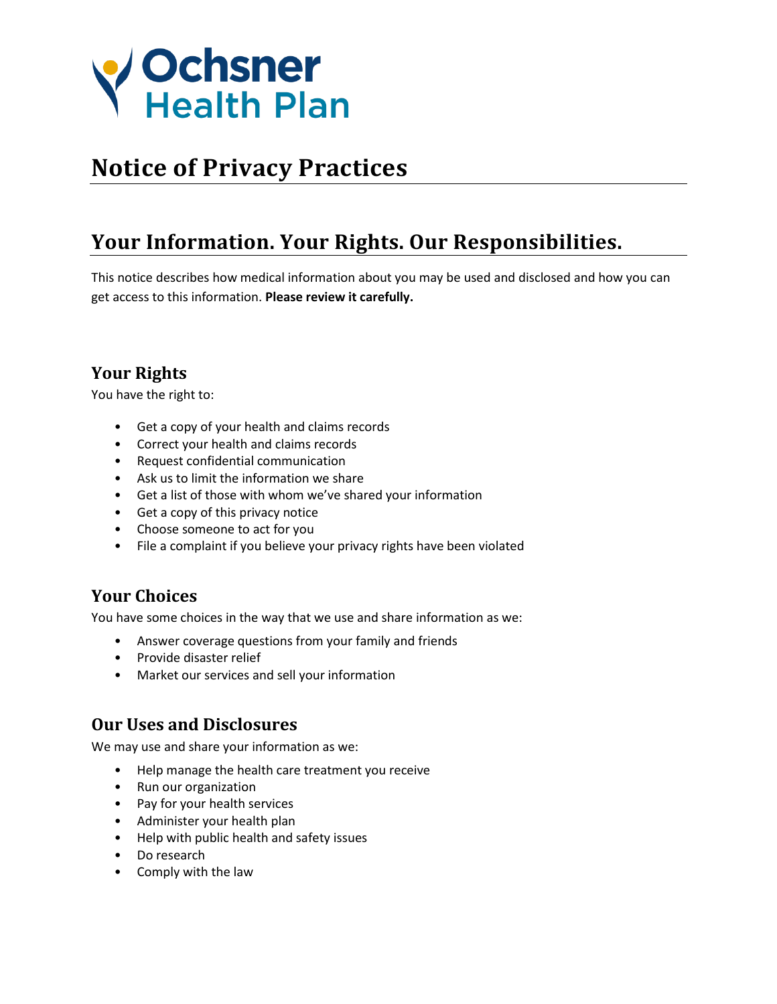

# **Notice of Privacy Practices**

# **Your Information. Your Rights. Our Responsibilities.**

This notice describes how medical information about you may be used and disclosed and how you can get access to this information. **Please review it carefully.** 

# **Your Rights**

You have the right to:

- Get a copy of your health and claims records
- Correct your health and claims records
- Request confidential communication
- Ask us to limit the information we share
- Get a list of those with whom we've shared your information
- Get a copy of this privacy notice
- Choose someone to act for you
- File a complaint if you believe your privacy rights have been violated

# **Your Choices**

You have some choices in the way that we use and share information as we:

- Answer coverage questions from your family and friends
- Provide disaster relief
- Market our services and sell your information

# **Our Uses and Disclosures**

We may use and share your information as we:

- Help manage the health care treatment you receive
- Run our organization
- Pay for your health services
- Administer your health plan
- Help with public health and safety issues
- Do research
- Comply with the law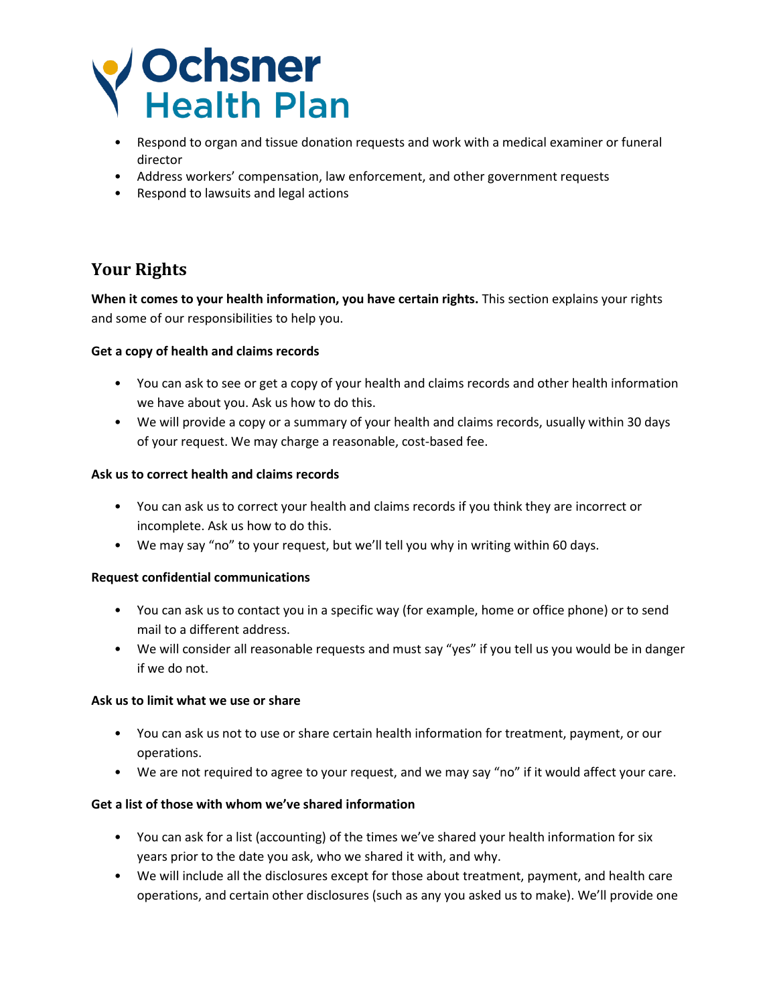

- Respond to organ and tissue donation requests and work with a medical examiner or funeral director
- Address workers' compensation, law enforcement, and other government requests
- Respond to lawsuits and legal actions

# **Your Rights**

**When it comes to your health information, you have certain rights.** This section explains your rights and some of our responsibilities to help you.

#### **Get a copy of health and claims records**

- You can ask to see or get a copy of your health and claims records and other health information we have about you. Ask us how to do this.
- We will provide a copy or a summary of your health and claims records, usually within 30 days of your request. We may charge a reasonable, cost-based fee.

#### **Ask us to correct health and claims records**

- You can ask us to correct your health and claims records if you think they are incorrect or incomplete. Ask us how to do this.
- We may say "no" to your request, but we'll tell you why in writing within 60 days.

#### **Request confidential communications**

- You can ask us to contact you in a specific way (for example, home or office phone) or to send mail to a different address.
- We will consider all reasonable requests and must say "yes" if you tell us you would be in danger if we do not.

#### **Ask us to limit what we use or share**

- You can ask us not to use or share certain health information for treatment, payment, or our operations.
- We are not required to agree to your request, and we may say "no" if it would affect your care.

#### **Get a list of those with whom we've shared information**

- years prior to the date you ask, who we shared it with, and why. • You can ask for a list (accounting) of the times we've shared your health information for six
- operations, and certain other disclosures (such as any you asked us to make). We'll provide one • We will include all the disclosures except for those about treatment, payment, and health care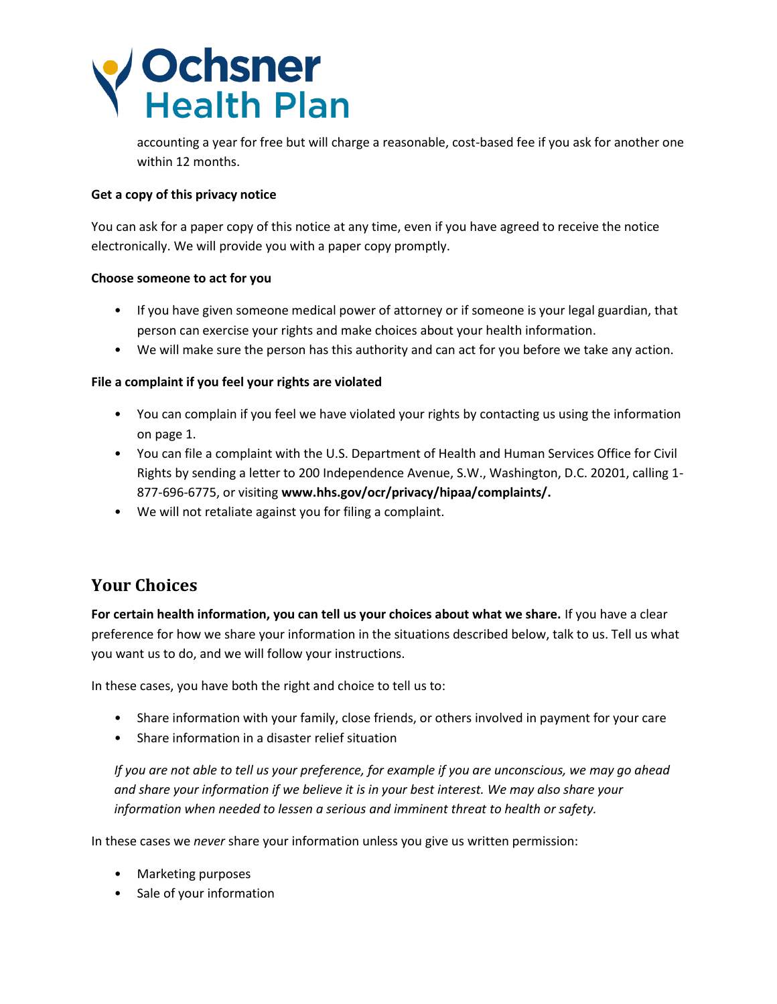

accounting a year for free but will charge a reasonable, cost-based fee if you ask for another one within 12 months.

#### **Get a copy of this privacy notice**

You can ask for a paper copy of this notice at any time, even if you have agreed to receive the notice electronically. We will provide you with a paper copy promptly.

#### **Choose someone to act for you**

- If you have given someone medical power of attorney or if someone is your legal guardian, that person can exercise your rights and make choices about your health information.
- We will make sure the person has this authority and can act for you before we take any action.

#### **File a complaint if you feel your rights are violated**

- You can complain if you feel we have violated your rights by contacting us using the information on page 1.
- You can file a complaint with the U.S. Department of Health and Human Services Office for Civil Rights by sending a letter to 200 Independence Avenue, S.W., Washington, D.C. 20201, calling 1- 877-696-6775, or visiting **www.hhs.gov/ocr/privacy/hipaa/complaints/.**
- We will not retaliate against you for filing a complaint.

# **Your Choices**

 **For certain health information, you can tell us your choices about what we share.** If you have a clear preference for how we share your information in the situations described below, talk to us. Tell us what you want us to do, and we will follow your instructions.

In these cases, you have both the right and choice to tell us to:

- Share information with your family, close friends, or others involved in payment for your care
- Share information in a disaster relief situation

*If you are not able to tell us your preference, for example if you are unconscious, we may go ahead and share your information if we believe it is in your best interest. We may also share your information when needed to lessen a serious and imminent threat to health or safety.* 

In these cases we *never* share your information unless you give us written permission:

- Marketing purposes
- Sale of your information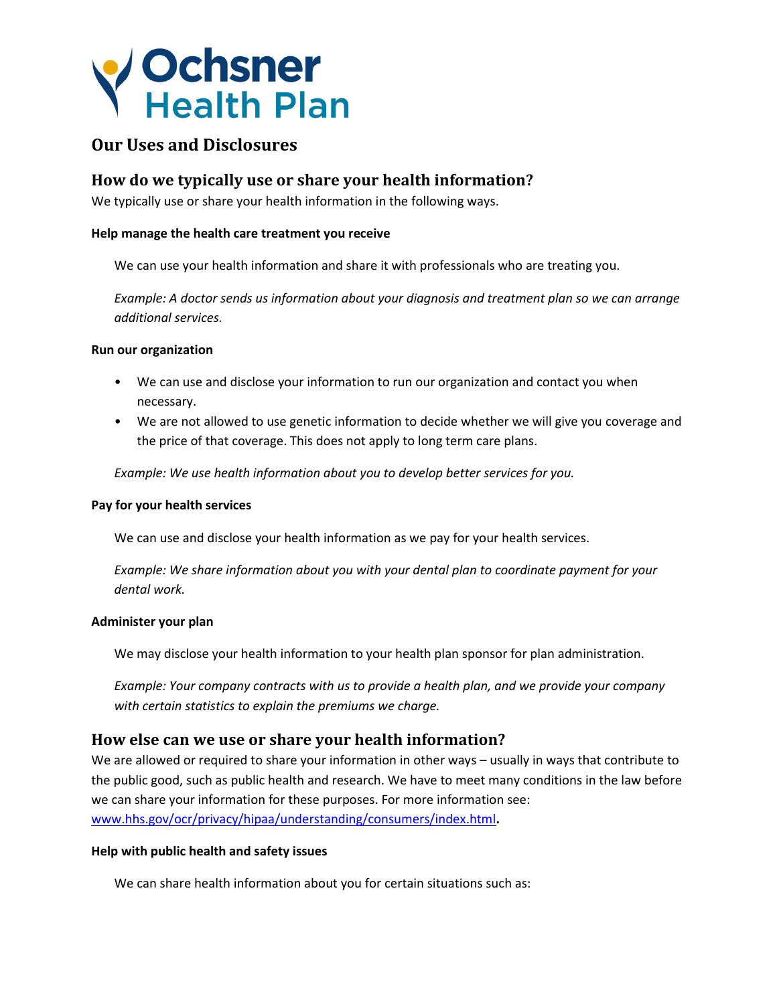

# **Our Uses and Disclosures**

### **How do we typically use or share your health information?**

We typically use or share your health information in the following ways.

#### **Help manage the health care treatment you receive**

We can use your health information and share it with professionals who are treating you.

*Example: A doctor sends us information about your diagnosis and treatment plan so we can arrange additional services.* 

#### **Run our organization**

- We can use and disclose your information to run our organization and contact you when necessary.
- We are not allowed to use genetic information to decide whether we will give you coverage and the price of that coverage. This does not apply to long term care plans.

*Example: We use health information about you to develop better services for you.* 

#### **Pay for your health services**

We can use and disclose your health information as we pay for your health services.

*Example: We share information about you with your dental plan to coordinate payment for your dental work.* 

#### **Administer your plan**

We may disclose your health information to your health plan sponsor for plan administration.

*Example: Your company contracts with us to provide a health plan, and we provide your company with certain statistics to explain the premiums we charge.* 

### **How else can we use or share your health information?**

 the public good, such as public health and research. We have to meet many conditions in the law before We are allowed or required to share your information in other ways – usually in ways that contribute to we can share your information for these purposes. For more information see: www.hhs.gov/ocr/privacy/hipaa/understanding/consumers/index.html**.** 

#### **Help with public health and safety issues**

We can share health information about you for certain situations such as: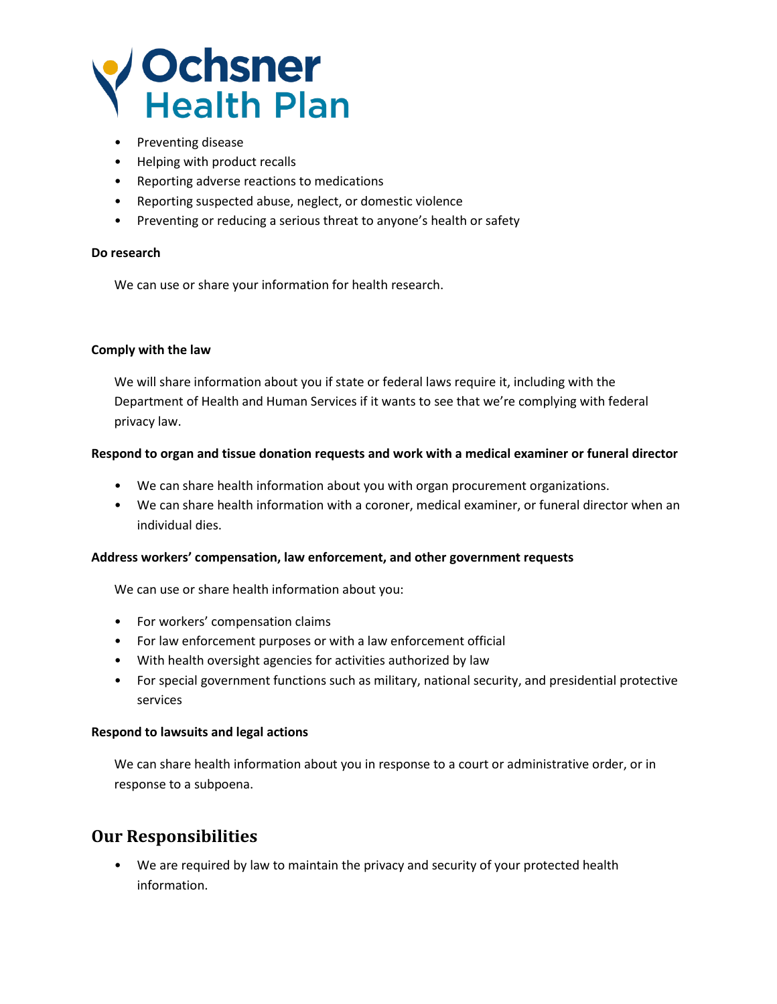

- Preventing disease
- Helping with product recalls
- Reporting adverse reactions to medications
- Reporting suspected abuse, neglect, or domestic violence
- Preventing or reducing a serious threat to anyone's health or safety

#### **Do research**

We can use or share your information for health research.

#### **Comply with the law**

We will share information about you if state or federal laws require it, including with the Department of Health and Human Services if it wants to see that we're complying with federal privacy law.

#### **Respond to organ and tissue donation requests and work with a medical examiner or funeral director**

- We can share health information about you with organ procurement organizations.
- We can share health information with a coroner, medical examiner, or funeral director when an individual dies.

#### **Address workers' compensation, law enforcement, and other government requests**

We can use or share health information about you:

- For workers' compensation claims
- For law enforcement purposes or with a law enforcement official
- With health oversight agencies for activities authorized by law
- For special government functions such as military, national security, and presidential protective services

#### **Respond to lawsuits and legal actions**

We can share health information about you in response to a court or administrative order, or in response to a subpoena.

### **Our Responsibilities**

• We are required by law to maintain the privacy and security of your protected health information.